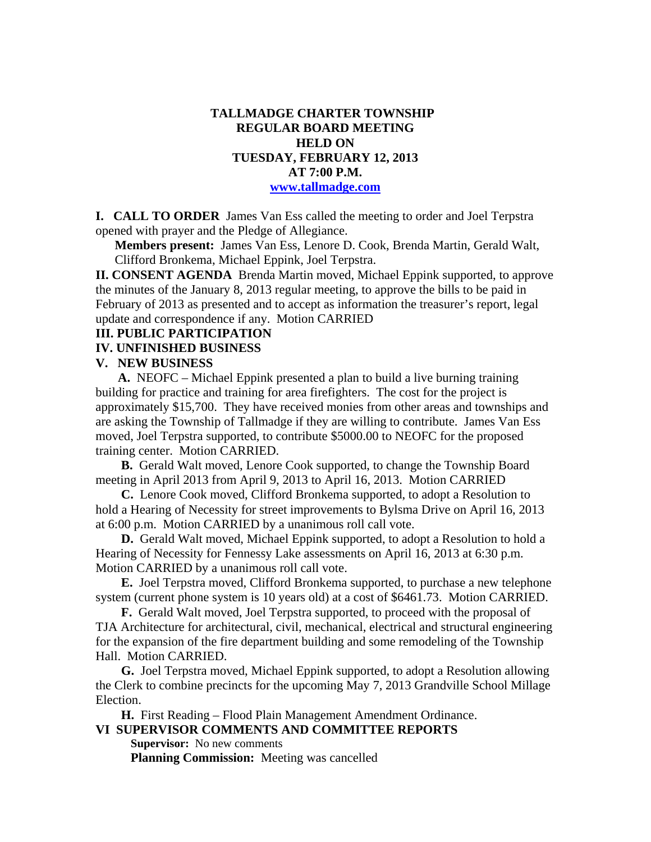### **TALLMADGE CHARTER TOWNSHIP REGULAR BOARD MEETING HELD ON TUESDAY, FEBRUARY 12, 2013 AT 7:00 P.M. www.tallmadge.com**

**I. CALL TO ORDER** James Van Ess called the meeting to order and Joel Terpstra opened with prayer and the Pledge of Allegiance.

**Members present:** James Van Ess, Lenore D. Cook, Brenda Martin, Gerald Walt, Clifford Bronkema, Michael Eppink, Joel Terpstra.

**II. CONSENT AGENDA** Brenda Martin moved, Michael Eppink supported, to approve the minutes of the January 8, 2013 regular meeting, to approve the bills to be paid in February of 2013 as presented and to accept as information the treasurer's report, legal update and correspondence if any. Motion CARRIED

#### **III. PUBLIC PARTICIPATION**

#### **IV. UNFINISHED BUSINESS**

#### **V. NEW BUSINESS**

 **A.** NEOFC – Michael Eppink presented a plan to build a live burning training building for practice and training for area firefighters. The cost for the project is approximately \$15,700. They have received monies from other areas and townships and are asking the Township of Tallmadge if they are willing to contribute. James Van Ess moved, Joel Terpstra supported, to contribute \$5000.00 to NEOFC for the proposed training center. Motion CARRIED.

 **B.** Gerald Walt moved, Lenore Cook supported, to change the Township Board meeting in April 2013 from April 9, 2013 to April 16, 2013. Motion CARRIED

 **C.** Lenore Cook moved, Clifford Bronkema supported, to adopt a Resolution to hold a Hearing of Necessity for street improvements to Bylsma Drive on April 16, 2013 at 6:00 p.m. Motion CARRIED by a unanimous roll call vote.

 **D.** Gerald Walt moved, Michael Eppink supported, to adopt a Resolution to hold a Hearing of Necessity for Fennessy Lake assessments on April 16, 2013 at 6:30 p.m. Motion CARRIED by a unanimous roll call vote.

 **E.** Joel Terpstra moved, Clifford Bronkema supported, to purchase a new telephone system (current phone system is 10 years old) at a cost of \$6461.73. Motion CARRIED.

 **F.** Gerald Walt moved, Joel Terpstra supported, to proceed with the proposal of TJA Architecture for architectural, civil, mechanical, electrical and structural engineering for the expansion of the fire department building and some remodeling of the Township Hall. Motion CARRIED.

 **G.** Joel Terpstra moved, Michael Eppink supported, to adopt a Resolution allowing the Clerk to combine precincts for the upcoming May 7, 2013 Grandville School Millage Election.

 **H.** First Reading – Flood Plain Management Amendment Ordinance. **VI SUPERVISOR COMMENTS AND COMMITTEE REPORTS** 

 **Supervisor:** No new comments **Planning Commission:** Meeting was cancelled